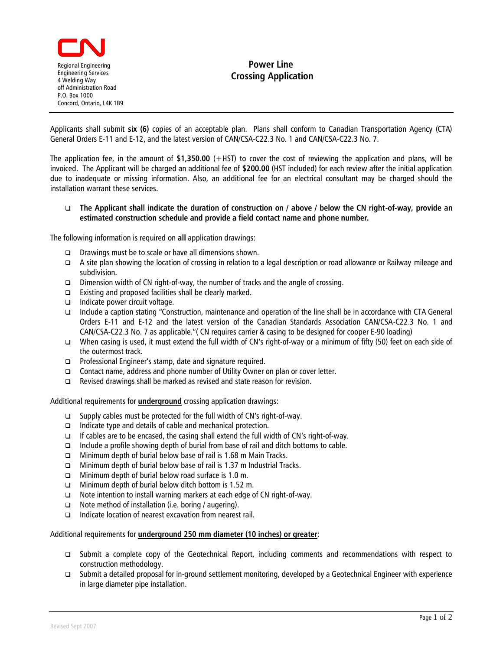

## **Power Line Crossing Application**

Applicants shall submit **six (6)** copies of an acceptable plan. Plans shall conform to Canadian Transportation Agency (CTA) General Orders E-11 and E-12, and the latest version of CAN/CSA-C22.3 No. 1 and CAN/CSA-C22.3 No. 7.

The application fee, in the amount of **\$1,350.00** (+HST) to cover the cost of reviewing the application and plans, will be invoiced. The Applicant will be charged an additional fee of **\$200.00** (HST included) for each review after the initial application due to inadequate or missing information. Also, an additional fee for an electrical consultant may be charged should the installation warrant these services.

## **The Applicant shall indicate the duration of construction on / above / below the CN right-of-way, provide an estimated construction schedule and provide a field contact name and phone number.**

The following information is required on **all** application drawings:

- Drawings must be to scale or have all dimensions shown.
- A site plan showing the location of crossing in relation to a legal description or road allowance or Railway mileage and subdivision.
- $\square$  Dimension width of CN right-of-way, the number of tracks and the angle of crossing.
- Existing and proposed facilities shall be clearly marked.
- $\Box$  Indicate power circuit voltage.
- Include a caption stating "Construction, maintenance and operation of the line shall be in accordance with CTA General Orders E-11 and E-12 and the latest version of the Canadian Standards Association CAN/CSA-C22.3 No. 1 and CAN/CSA-C22.3 No. 7 as applicable."( CN requires carrier & casing to be designed for cooper E-90 loading)
- When casing is used, it must extend the full width of CN's right-of-way or a minimum of fifty (50) feet on each side of the outermost track.
- □ Professional Engineer's stamp, date and signature required.
- □ Contact name, address and phone number of Utility Owner on plan or cover letter.
- $\Box$  Revised drawings shall be marked as revised and state reason for revision.

Additional requirements for **underground** crossing application drawings:

- □ Supply cables must be protected for the full width of CN's right-of-way.
- $\Box$  Indicate type and details of cable and mechanical protection.
- $\Box$  If cables are to be encased, the casing shall extend the full width of CN's right-of-way.
- $\Box$  Include a profile showing depth of burial from base of rail and ditch bottoms to cable.
- Minimum depth of burial below base of rail is 1.68 m Main Tracks.
- $\Box$  Minimum depth of burial below base of rail is 1.37 m Industrial Tracks.
- **I** Minimum depth of burial below road surface is 1.0 m.
- **I** Minimum depth of burial below ditch bottom is 1.52 m.
- $\Box$  Note intention to install warning markers at each edge of CN right-of-way.
- $\Box$  Note method of installation (i.e. boring / augering).
- Indicate location of nearest excavation from nearest rail.

## Additional requirements for **underground 250 mm diameter (10 inches) or greater**:

- Submit a complete copy of the Geotechnical Report, including comments and recommendations with respect to construction methodology.
- Submit a detailed proposal for in-ground settlement monitoring, developed by a Geotechnical Engineer with experience in large diameter pipe installation.